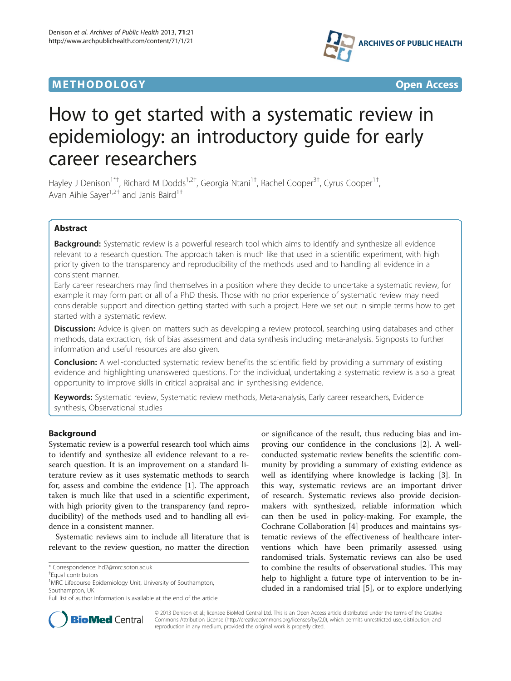



# How to get started with a systematic review in epidemiology: an introductory guide for early career researchers

Hayley J Denison<sup>1\*†</sup>, Richard M Dodds<sup>1,2†</sup>, Georgia Ntani<sup>1†</sup>, Rachel Cooper<sup>3†</sup>, Cyrus Cooper<sup>1†</sup> , Avan Aihie Sayer<sup>1,2†</sup> and Janis Baird<sup>1†</sup>

# Abstract

Background: Systematic review is a powerful research tool which aims to identify and synthesize all evidence relevant to a research question. The approach taken is much like that used in a scientific experiment, with high priority given to the transparency and reproducibility of the methods used and to handling all evidence in a consistent manner.

Early career researchers may find themselves in a position where they decide to undertake a systematic review, for example it may form part or all of a PhD thesis. Those with no prior experience of systematic review may need considerable support and direction getting started with such a project. Here we set out in simple terms how to get started with a systematic review.

Discussion: Advice is given on matters such as developing a review protocol, searching using databases and other methods, data extraction, risk of bias assessment and data synthesis including meta-analysis. Signposts to further information and useful resources are also given.

**Conclusion:** A well-conducted systematic review benefits the scientific field by providing a summary of existing evidence and highlighting unanswered questions. For the individual, undertaking a systematic review is also a great opportunity to improve skills in critical appraisal and in synthesising evidence.

Keywords: Systematic review, Systematic review methods, Meta-analysis, Early career researchers, Evidence synthesis, Observational studies

# Background

Systematic review is a powerful research tool which aims to identify and synthesize all evidence relevant to a research question. It is an improvement on a standard literature review as it uses systematic methods to search for, assess and combine the evidence [[1\]](#page-7-0). The approach taken is much like that used in a scientific experiment, with high priority given to the transparency (and reproducibility) of the methods used and to handling all evidence in a consistent manner.

Systematic reviews aim to include all literature that is relevant to the review question, no matter the direction

or significance of the result, thus reducing bias and improving our confidence in the conclusions [[2\]](#page-7-0). A wellconducted systematic review benefits the scientific community by providing a summary of existing evidence as well as identifying where knowledge is lacking [[3\]](#page-7-0). In this way, systematic reviews are an important driver of research. Systematic reviews also provide decisionmakers with synthesized, reliable information which can then be used in policy-making. For example, the Cochrane Collaboration [[4\]](#page-7-0) produces and maintains systematic reviews of the effectiveness of healthcare interventions which have been primarily assessed using randomised trials. Systematic reviews can also be used to combine the results of observational studies. This may help to highlight a future type of intervention to be included in a randomised trial [\[5](#page-7-0)], or to explore underlying



© 2013 Denison et al.; licensee BioMed Central Ltd. This is an Open Access article distributed under the terms of the Creative Commons Attribution License [\(http://creativecommons.org/licenses/by/2.0\)](http://creativecommons.org/licenses/by/2.0), which permits unrestricted use, distribution, and reproduction in any medium, provided the original work is properly cited.

<sup>\*</sup> Correspondence: [hd2@mrc.soton.ac.uk](mailto:hd2@mrc.soton.ac.uk) †

Equal contributors

<sup>&</sup>lt;sup>1</sup>MRC Lifecourse Epidemiology Unit, University of Southampton, Southampton, UK

Full list of author information is available at the end of the article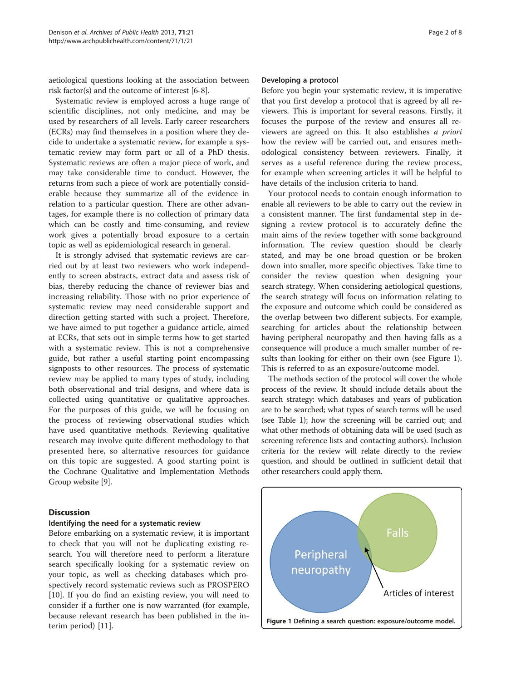aetiological questions looking at the association between risk factor(s) and the outcome of interest [[6-8](#page-7-0)].

Systematic review is employed across a huge range of scientific disciplines, not only medicine, and may be used by researchers of all levels. Early career researchers (ECRs) may find themselves in a position where they decide to undertake a systematic review, for example a systematic review may form part or all of a PhD thesis. Systematic reviews are often a major piece of work, and may take considerable time to conduct. However, the returns from such a piece of work are potentially considerable because they summarize all of the evidence in relation to a particular question. There are other advantages, for example there is no collection of primary data which can be costly and time-consuming, and review work gives a potentially broad exposure to a certain topic as well as epidemiological research in general.

It is strongly advised that systematic reviews are carried out by at least two reviewers who work independently to screen abstracts, extract data and assess risk of bias, thereby reducing the chance of reviewer bias and increasing reliability. Those with no prior experience of systematic review may need considerable support and direction getting started with such a project. Therefore, we have aimed to put together a guidance article, aimed at ECRs, that sets out in simple terms how to get started with a systematic review. This is not a comprehensive guide, but rather a useful starting point encompassing signposts to other resources. The process of systematic review may be applied to many types of study, including both observational and trial designs, and where data is collected using quantitative or qualitative approaches. For the purposes of this guide, we will be focusing on the process of reviewing observational studies which have used quantitative methods. Reviewing qualitative research may involve quite different methodology to that presented here, so alternative resources for guidance on this topic are suggested. A good starting point is the Cochrane Qualitative and Implementation Methods Group website [[9\]](#page-7-0).

# **Discussion**

# Identifying the need for a systematic review

Before embarking on a systematic review, it is important to check that you will not be duplicating existing research. You will therefore need to perform a literature search specifically looking for a systematic review on your topic, as well as checking databases which prospectively record systematic reviews such as PROSPERO [[10\]](#page-7-0). If you do find an existing review, you will need to consider if a further one is now warranted (for example, because relevant research has been published in the interim period) [\[11\]](#page-7-0).

## Developing a protocol

Before you begin your systematic review, it is imperative that you first develop a protocol that is agreed by all reviewers. This is important for several reasons. Firstly, it focuses the purpose of the review and ensures all reviewers are agreed on this. It also establishes a priori how the review will be carried out, and ensures methodological consistency between reviewers. Finally, it serves as a useful reference during the review process, for example when screening articles it will be helpful to have details of the inclusion criteria to hand.

Your protocol needs to contain enough information to enable all reviewers to be able to carry out the review in a consistent manner. The first fundamental step in designing a review protocol is to accurately define the main aims of the review together with some background information. The review question should be clearly stated, and may be one broad question or be broken down into smaller, more specific objectives. Take time to consider the review question when designing your search strategy. When considering aetiological questions, the search strategy will focus on information relating to the exposure and outcome which could be considered as the overlap between two different subjects. For example, searching for articles about the relationship between having peripheral neuropathy and then having falls as a consequence will produce a much smaller number of results than looking for either on their own (see Figure 1). This is referred to as an exposure/outcome model.

The methods section of the protocol will cover the whole process of the review. It should include details about the search strategy: which databases and years of publication are to be searched; what types of search terms will be used (see Table [1\)](#page-2-0); how the screening will be carried out; and what other methods of obtaining data will be used (such as screening reference lists and contacting authors). Inclusion criteria for the review will relate directly to the review question, and should be outlined in sufficient detail that other researchers could apply them.

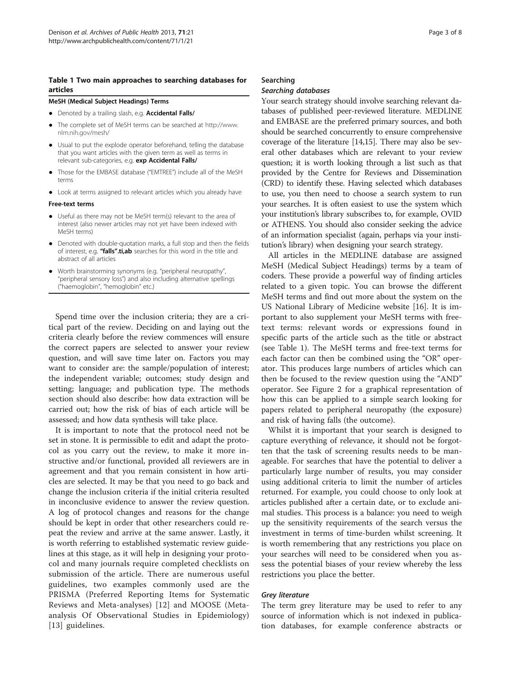## <span id="page-2-0"></span>Table 1 Two main approaches to searching databases for **articles**

### MeSH (Medical Subject Headings) Terms

- Denoted by a trailing slash, e.g. Accidental Falls/
- The complete set of MeSH terms can be searched at [http://www.](http://www.nlm.nih.gov/mesh/) [nlm.nih.gov/mesh/](http://www.nlm.nih.gov/mesh/)
- Usual to put the explode operator beforehand, telling the database that you want articles with the given term as well as terms in relevant sub-categories, e.g. exp Accidental Falls/
- Those for the EMBASE database ("EMTREE") include all of the MeSH terms
- Look at terms assigned to relevant articles which you already have

#### Free-text terms

- Useful as there may not be MeSH term(s) relevant to the area of interest (also newer articles may not yet have been indexed with MeSH terms)
- Denoted with double-quotation marks, a full stop and then the fields of interest, e.g. "falls".ti,ab searches for this word in the title and abstract of all articles
- Worth brainstorming synonyms (e.g. "peripheral neuropathy", "peripheral sensory loss") and also including alternative spellings ("haemoglobin", "hemoglobin" etc.)

Spend time over the inclusion criteria; they are a critical part of the review. Deciding on and laying out the criteria clearly before the review commences will ensure the correct papers are selected to answer your review question, and will save time later on. Factors you may want to consider are: the sample/population of interest; the independent variable; outcomes; study design and setting; language; and publication type. The methods section should also describe: how data extraction will be carried out; how the risk of bias of each article will be assessed; and how data synthesis will take place.

It is important to note that the protocol need not be set in stone. It is permissible to edit and adapt the protocol as you carry out the review, to make it more instructive and/or functional, provided all reviewers are in agreement and that you remain consistent in how articles are selected. It may be that you need to go back and change the inclusion criteria if the initial criteria resulted in inconclusive evidence to answer the review question. A log of protocol changes and reasons for the change should be kept in order that other researchers could repeat the review and arrive at the same answer. Lastly, it is worth referring to established systematic review guidelines at this stage, as it will help in designing your protocol and many journals require completed checklists on submission of the article. There are numerous useful guidelines, two examples commonly used are the PRISMA (Preferred Reporting Items for Systematic Reviews and Meta-analyses) [[12\]](#page-7-0) and MOOSE (Metaanalysis Of Observational Studies in Epidemiology) [[13](#page-7-0)] guidelines.

# Searching

# Searching databases

Your search strategy should involve searching relevant databases of published peer-reviewed literature. MEDLINE and EMBASE are the preferred primary sources, and both should be searched concurrently to ensure comprehensive coverage of the literature [\[14,15\]](#page-7-0). There may also be several other databases which are relevant to your review question; it is worth looking through a list such as that provided by the Centre for Reviews and Dissemination (CRD) to identify these. Having selected which databases to use, you then need to choose a search system to run your searches. It is often easiest to use the system which your institution's library subscribes to, for example, OVID or ATHENS. You should also consider seeking the advice of an information specialist (again, perhaps via your institution's library) when designing your search strategy.

All articles in the MEDLINE database are assigned MeSH (Medical Subject Headings) terms by a team of coders. These provide a powerful way of finding articles related to a given topic. You can browse the different MeSH terms and find out more about the system on the US National Library of Medicine website [\[16](#page-7-0)]. It is important to also supplement your MeSH terms with freetext terms: relevant words or expressions found in specific parts of the article such as the title or abstract (see Table 1). The MeSH terms and free-text terms for each factor can then be combined using the "OR" operator. This produces large numbers of articles which can then be focused to the review question using the "AND" operator. See Figure [2](#page-3-0) for a graphical representation of how this can be applied to a simple search looking for papers related to peripheral neuropathy (the exposure) and risk of having falls (the outcome).

Whilst it is important that your search is designed to capture everything of relevance, it should not be forgotten that the task of screening results needs to be manageable. For searches that have the potential to deliver a particularly large number of results, you may consider using additional criteria to limit the number of articles returned. For example, you could choose to only look at articles published after a certain date, or to exclude animal studies. This process is a balance: you need to weigh up the sensitivity requirements of the search versus the investment in terms of time-burden whilst screening. It is worth remembering that any restrictions you place on your searches will need to be considered when you assess the potential biases of your review whereby the less restrictions you place the better.

#### Grey literature

The term grey literature may be used to refer to any source of information which is not indexed in publication databases, for example conference abstracts or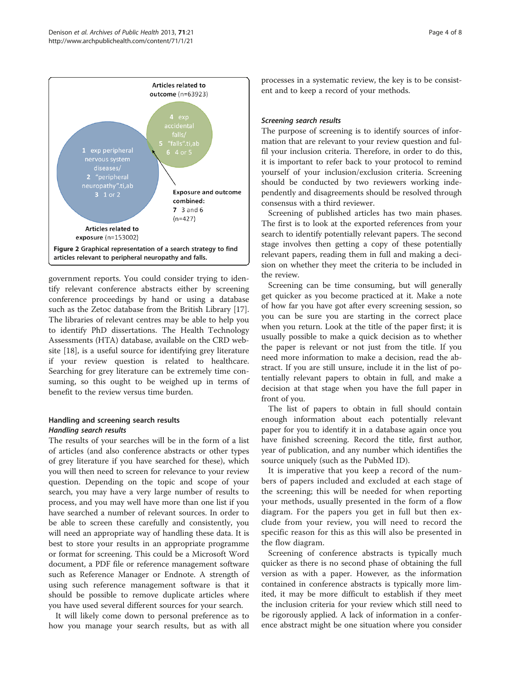<span id="page-3-0"></span>

government reports. You could consider trying to identify relevant conference abstracts either by screening conference proceedings by hand or using a database such as the Zetoc database from the British Library [\[17](#page-7-0)]. The libraries of relevant centres may be able to help you to identify PhD dissertations. The Health Technology Assessments (HTA) database, available on the CRD website [\[18\]](#page-7-0), is a useful source for identifying grey literature if your review question is related to healthcare. Searching for grey literature can be extremely time consuming, so this ought to be weighed up in terms of benefit to the review versus time burden.

# Handling and screening search results Handling search results

The results of your searches will be in the form of a list of articles (and also conference abstracts or other types of grey literature if you have searched for these), which you will then need to screen for relevance to your review question. Depending on the topic and scope of your search, you may have a very large number of results to process, and you may well have more than one list if you have searched a number of relevant sources. In order to be able to screen these carefully and consistently, you will need an appropriate way of handling these data. It is best to store your results in an appropriate programme or format for screening. This could be a Microsoft Word document, a PDF file or reference management software such as Reference Manager or Endnote. A strength of using such reference management software is that it should be possible to remove duplicate articles where you have used several different sources for your search.

It will likely come down to personal preference as to how you manage your search results, but as with all

processes in a systematic review, the key is to be consistent and to keep a record of your methods.

# Screening search results

The purpose of screening is to identify sources of information that are relevant to your review question and fulfil your inclusion criteria. Therefore, in order to do this, it is important to refer back to your protocol to remind yourself of your inclusion/exclusion criteria. Screening should be conducted by two reviewers working independently and disagreements should be resolved through consensus with a third reviewer.

Screening of published articles has two main phases. The first is to look at the exported references from your search to identify potentially relevant papers. The second stage involves then getting a copy of these potentially relevant papers, reading them in full and making a decision on whether they meet the criteria to be included in the review.

Screening can be time consuming, but will generally get quicker as you become practiced at it. Make a note of how far you have got after every screening session, so you can be sure you are starting in the correct place when you return. Look at the title of the paper first; it is usually possible to make a quick decision as to whether the paper is relevant or not just from the title. If you need more information to make a decision, read the abstract. If you are still unsure, include it in the list of potentially relevant papers to obtain in full, and make a decision at that stage when you have the full paper in front of you.

The list of papers to obtain in full should contain enough information about each potentially relevant paper for you to identify it in a database again once you have finished screening. Record the title, first author, year of publication, and any number which identifies the source uniquely (such as the PubMed ID).

It is imperative that you keep a record of the numbers of papers included and excluded at each stage of the screening; this will be needed for when reporting your methods, usually presented in the form of a flow diagram. For the papers you get in full but then exclude from your review, you will need to record the specific reason for this as this will also be presented in the flow diagram.

Screening of conference abstracts is typically much quicker as there is no second phase of obtaining the full version as with a paper. However, as the information contained in conference abstracts is typically more limited, it may be more difficult to establish if they meet the inclusion criteria for your review which still need to be rigorously applied. A lack of information in a conference abstract might be one situation where you consider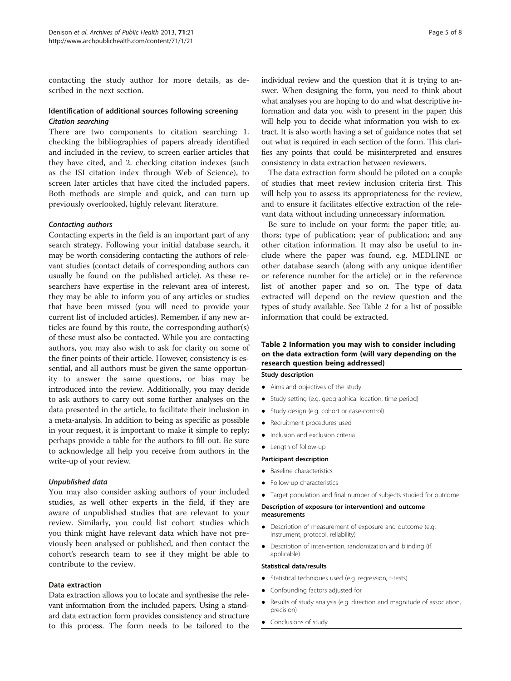contacting the study author for more details, as described in the next section.

# Identification of additional sources following screening Citation searching

There are two components to citation searching: 1. checking the bibliographies of papers already identified and included in the review, to screen earlier articles that they have cited, and 2. checking citation indexes (such as the ISI citation index through Web of Science), to screen later articles that have cited the included papers. Both methods are simple and quick, and can turn up previously overlooked, highly relevant literature.

# Contacting authors

Contacting experts in the field is an important part of any search strategy. Following your initial database search, it may be worth considering contacting the authors of relevant studies (contact details of corresponding authors can usually be found on the published article). As these researchers have expertise in the relevant area of interest, they may be able to inform you of any articles or studies that have been missed (you will need to provide your current list of included articles). Remember, if any new articles are found by this route, the corresponding author(s) of these must also be contacted. While you are contacting authors, you may also wish to ask for clarity on some of the finer points of their article. However, consistency is essential, and all authors must be given the same opportunity to answer the same questions, or bias may be introduced into the review. Additionally, you may decide to ask authors to carry out some further analyses on the data presented in the article, to facilitate their inclusion in a meta-analysis. In addition to being as specific as possible in your request, it is important to make it simple to reply; perhaps provide a table for the authors to fill out. Be sure to acknowledge all help you receive from authors in the write-up of your review.

# Unpublished data

You may also consider asking authors of your included studies, as well other experts in the field, if they are aware of unpublished studies that are relevant to your review. Similarly, you could list cohort studies which you think might have relevant data which have not previously been analysed or published, and then contact the cohort's research team to see if they might be able to contribute to the review.

# Data extraction

Data extraction allows you to locate and synthesise the relevant information from the included papers. Using a standard data extraction form provides consistency and structure to this process. The form needs to be tailored to the individual review and the question that it is trying to answer. When designing the form, you need to think about what analyses you are hoping to do and what descriptive information and data you wish to present in the paper; this will help you to decide what information you wish to extract. It is also worth having a set of guidance notes that set out what is required in each section of the form. This clarifies any points that could be misinterpreted and ensures consistency in data extraction between reviewers.

The data extraction form should be piloted on a couple of studies that meet review inclusion criteria first. This will help you to assess its appropriateness for the review, and to ensure it facilitates effective extraction of the relevant data without including unnecessary information.

Be sure to include on your form: the paper title; authors; type of publication; year of publication; and any other citation information. It may also be useful to include where the paper was found, e.g. MEDLINE or other database search (along with any unique identifier or reference number for the article) or in the reference list of another paper and so on. The type of data extracted will depend on the review question and the types of study available. See Table 2 for a list of possible information that could be extracted.

# Table 2 Information you may wish to consider including on the data extraction form (will vary depending on the research question being addressed)

#### Study description

- Aims and objectives of the study
- Study setting (e.g. geographical location, time period)
- Study design (e.g. cohort or case-control)
- Recruitment procedures used
- Inclusion and exclusion criteria
- Length of follow-up

#### Participant description

- Baseline characteristics
- Follow-up characteristics
- Target population and final number of subjects studied for outcome

#### Description of exposure (or intervention) and outcome measurements

- Description of measurement of exposure and outcome (e.g. instrument, protocol, reliability)
- Description of intervention, randomization and blinding (if applicable)

#### Statistical data/results

- Statistical techniques used (e.g. regression, t-tests)
- Confounding factors adjusted for
- Results of study analysis (e.g. direction and magnitude of association, precision)
- Conclusions of study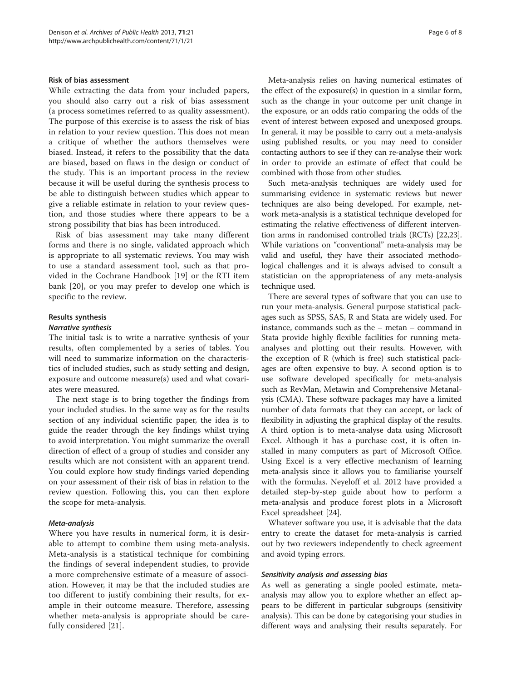## Risk of bias assessment

While extracting the data from your included papers, you should also carry out a risk of bias assessment (a process sometimes referred to as quality assessment). The purpose of this exercise is to assess the risk of bias in relation to your review question. This does not mean a critique of whether the authors themselves were biased. Instead, it refers to the possibility that the data are biased, based on flaws in the design or conduct of the study. This is an important process in the review because it will be useful during the synthesis process to be able to distinguish between studies which appear to give a reliable estimate in relation to your review question, and those studies where there appears to be a strong possibility that bias has been introduced.

Risk of bias assessment may take many different forms and there is no single, validated approach which is appropriate to all systematic reviews. You may wish to use a standard assessment tool, such as that provided in the Cochrane Handbook [[19\]](#page-7-0) or the RTI item bank [\[20](#page-7-0)], or you may prefer to develop one which is specific to the review.

## Results synthesis

#### Narrative synthesis

The initial task is to write a narrative synthesis of your results, often complemented by a series of tables. You will need to summarize information on the characteristics of included studies, such as study setting and design, exposure and outcome measure(s) used and what covariates were measured.

The next stage is to bring together the findings from your included studies. In the same way as for the results section of any individual scientific paper, the idea is to guide the reader through the key findings whilst trying to avoid interpretation. You might summarize the overall direction of effect of a group of studies and consider any results which are not consistent with an apparent trend. You could explore how study findings varied depending on your assessment of their risk of bias in relation to the review question. Following this, you can then explore the scope for meta-analysis.

#### Meta-analysis

Where you have results in numerical form, it is desirable to attempt to combine them using meta-analysis. Meta-analysis is a statistical technique for combining the findings of several independent studies, to provide a more comprehensive estimate of a measure of association. However, it may be that the included studies are too different to justify combining their results, for example in their outcome measure. Therefore, assessing whether meta-analysis is appropriate should be carefully considered [\[21](#page-7-0)].

Meta-analysis relies on having numerical estimates of the effect of the exposure(s) in question in a similar form, such as the change in your outcome per unit change in the exposure, or an odds ratio comparing the odds of the event of interest between exposed and unexposed groups. In general, it may be possible to carry out a meta-analysis using published results, or you may need to consider contacting authors to see if they can re-analyse their work in order to provide an estimate of effect that could be combined with those from other studies.

Such meta-analysis techniques are widely used for summarising evidence in systematic reviews but newer techniques are also being developed. For example, network meta-analysis is a statistical technique developed for estimating the relative effectiveness of different intervention arms in randomised controlled trials (RCTs) [\[22,23](#page-7-0)]. While variations on "conventional" meta-analysis may be valid and useful, they have their associated methodological challenges and it is always advised to consult a statistician on the appropriateness of any meta-analysis technique used.

There are several types of software that you can use to run your meta-analysis. General purpose statistical packages such as SPSS, SAS, R and Stata are widely used. For instance, commands such as the – metan – command in Stata provide highly flexible facilities for running metaanalyses and plotting out their results. However, with the exception of R (which is free) such statistical packages are often expensive to buy. A second option is to use software developed specifically for meta-analysis such as RevMan, Metawin and Comprehensive Metanalysis (CMA). These software packages may have a limited number of data formats that they can accept, or lack of flexibility in adjusting the graphical display of the results. A third option is to meta-analyse data using Microsoft Excel. Although it has a purchase cost, it is often installed in many computers as part of Microsoft Office. Using Excel is a very effective mechanism of learning meta-analysis since it allows you to familiarise yourself with the formulas. Neyeloff et al. 2012 have provided a detailed step-by-step guide about how to perform a meta-analysis and produce forest plots in a Microsoft Excel spreadsheet [\[24\]](#page-7-0).

Whatever software you use, it is advisable that the data entry to create the dataset for meta-analysis is carried out by two reviewers independently to check agreement and avoid typing errors.

## Sensitivity analysis and assessing bias

As well as generating a single pooled estimate, metaanalysis may allow you to explore whether an effect appears to be different in particular subgroups (sensitivity analysis). This can be done by categorising your studies in different ways and analysing their results separately. For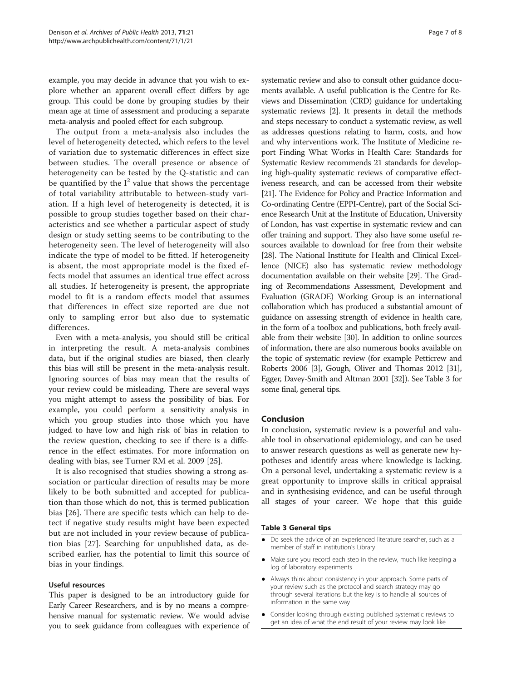example, you may decide in advance that you wish to explore whether an apparent overall effect differs by age group. This could be done by grouping studies by their mean age at time of assessment and producing a separate meta-analysis and pooled effect for each subgroup.

The output from a meta-analysis also includes the level of heterogeneity detected, which refers to the level of variation due to systematic differences in effect size between studies. The overall presence or absence of heterogeneity can be tested by the Q-statistic and can be quantified by the  $I^2$  value that shows the percentage of total variability attributable to between-study variation. If a high level of heterogeneity is detected, it is possible to group studies together based on their characteristics and see whether a particular aspect of study design or study setting seems to be contributing to the heterogeneity seen. The level of heterogeneity will also indicate the type of model to be fitted. If heterogeneity is absent, the most appropriate model is the fixed effects model that assumes an identical true effect across all studies. If heterogeneity is present, the appropriate model to fit is a random effects model that assumes that differences in effect size reported are due not only to sampling error but also due to systematic differences.

Even with a meta-analysis, you should still be critical in interpreting the result. A meta-analysis combines data, but if the original studies are biased, then clearly this bias will still be present in the meta-analysis result. Ignoring sources of bias may mean that the results of your review could be misleading. There are several ways you might attempt to assess the possibility of bias. For example, you could perform a sensitivity analysis in which you group studies into those which you have judged to have low and high risk of bias in relation to the review question, checking to see if there is a difference in the effect estimates. For more information on dealing with bias, see Turner RM et al. 2009 [\[25](#page-7-0)].

It is also recognised that studies showing a strong association or particular direction of results may be more likely to be both submitted and accepted for publication than those which do not, this is termed publication bias [[26\]](#page-7-0). There are specific tests which can help to detect if negative study results might have been expected but are not included in your review because of publication bias [[27\]](#page-7-0). Searching for unpublished data, as described earlier, has the potential to limit this source of bias in your findings.

# Useful resources

This paper is designed to be an introductory guide for Early Career Researchers, and is by no means a comprehensive manual for systematic review. We would advise you to seek guidance from colleagues with experience of

systematic review and also to consult other guidance documents available. A useful publication is the Centre for Reviews and Dissemination (CRD) guidance for undertaking systematic reviews [[2\]](#page-7-0). It presents in detail the methods and steps necessary to conduct a systematic review, as well as addresses questions relating to harm, costs, and how and why interventions work. The Institute of Medicine report Finding What Works in Health Care: Standards for Systematic Review recommends 21 standards for developing high-quality systematic reviews of comparative effectiveness research, and can be accessed from their website [[21](#page-7-0)]. The Evidence for Policy and Practice Information and Co-ordinating Centre (EPPI-Centre), part of the Social Science Research Unit at the Institute of Education, University of London, has vast expertise in systematic review and can offer training and support. They also have some useful resources available to download for free from their website [[28](#page-7-0)]. The National Institute for Health and Clinical Excellence (NICE) also has systematic review methodology documentation available on their website [\[29\]](#page-7-0). The Grading of Recommendations Assessment, Development and Evaluation (GRADE) Working Group is an international collaboration which has produced a substantial amount of guidance on assessing strength of evidence in health care, in the form of a toolbox and publications, both freely available from their website [\[30\]](#page-7-0). In addition to online sources of information, there are also numerous books available on the topic of systematic review (for example Petticrew and Roberts 2006 [[3](#page-7-0)], Gough, Oliver and Thomas 2012 [[31](#page-7-0)], Egger, Davey-Smith and Altman 2001 [\[32\]](#page-7-0)). See Table 3 for some final, general tips.

# Conclusion

In conclusion, systematic review is a powerful and valuable tool in observational epidemiology, and can be used to answer research questions as well as generate new hypotheses and identify areas where knowledge is lacking. On a personal level, undertaking a systematic review is a great opportunity to improve skills in critical appraisal and in synthesising evidence, and can be useful through all stages of your career. We hope that this guide

# Table 3 General tips

- Do seek the advice of an experienced literature searcher, such as a member of staff in institution's Library
- Make sure you record each step in the review, much like keeping a log of laboratory experiments
- Always think about consistency in your approach. Some parts of your review such as the protocol and search strategy may go through several iterations but the key is to handle all sources of information in the same way
- Consider looking through existing published systematic reviews to get an idea of what the end result of your review may look like